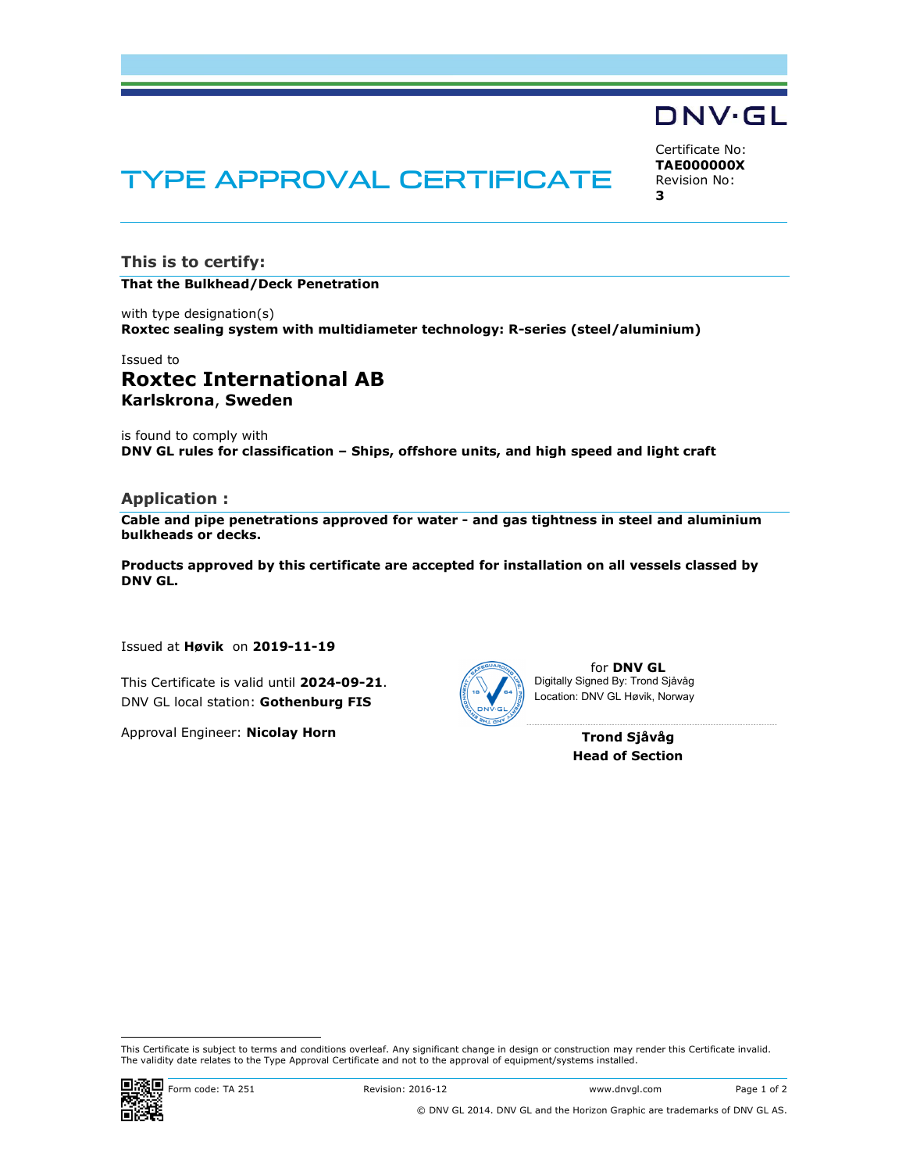

Certificate No: TAE000000X Revision No:

3

# TYPE APPROVAL CERTIFICATE

This is to certify:

#### That the Bulkhead/Deck Penetration

with type designation(s) Roxtec sealing system with multidiameter technology: R-series (steel/aluminium)

# Issued to Roxtec International AB Karlskrona, Sweden

is found to comply with DNV GL rules for classification – Ships, offshore units, and high speed and light craft

#### Application :

Cable and pipe penetrations approved for water - and gas tightness in steel and aluminium bulkheads or decks.

Products approved by this certificate are accepted for installation on all vessels classed by DNV GL.

Issued at Høvik on 2019-11-19

This Certificate is valid until 2024-09-21. DNV GL local station: Gothenburg FIS

Approval Engineer: Nicolay Horn



for DNV GL Digitally Signed By: Trond Sjåvåg Location: DNV GL Høvik, Norway

> Trond Sjåvåg Head of Section

This Certificate is subject to terms and conditions overleaf. Any significant change in design or construction may render this Certificate invalid.<br>The validity date relates to the Type Approval Certificate and not to the



i<br>I